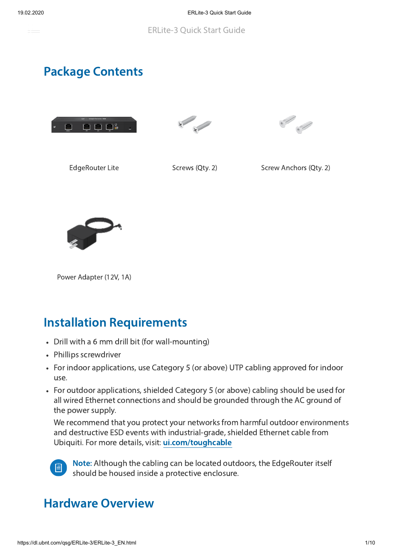

## Package Contents







EdgeRouter Lite Screws (Qty. 2) Screw Anchors (Qty. 2)



Power Adapter (12V, 1A)

## **Installation Requirements**

- Drill with a 6 mm drill bit (for wall-mounting)
- Phillips screwdriver
- For indoor applications, use Category 5 (or above) UTP cabling approved for indoor use.
- For outdoor applications, shielded Category 5 (or above) cabling should be used for all wired Ethernet connections and should be grounded through the AC ground of the power supply.

We recommend that you protect your networks from harmful outdoor environments and destructive ESD events with industrial-grade, shielded Ethernet cable from Ubiquiti. For more details, visit: ui.com/toughcable



Note: Although the cabling can be located outdoors, the EdgeRouter itself should be housed inside a protective enclosure.

## **Hardware Overview**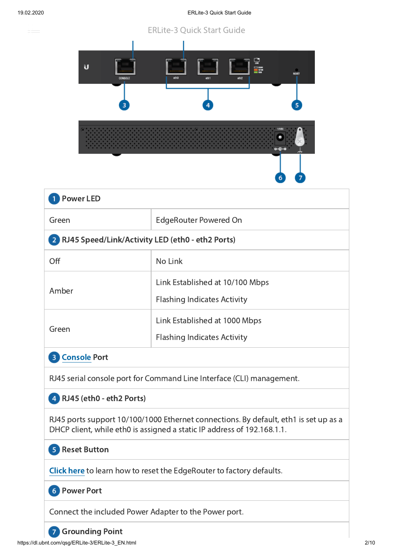ana.<br>Mga panahasing panganang pangangang pangangang pangangang pangangang pangangang pangangang pangang pangang pan<br>Mga pangangang pangangang pangang pangang pangang pangang pangang pangang pangang pangang pangang pangang

#### 19.02.2020 **ERLite-3 Quick Start Guide**

#### **ERLite-3 Quick Start Guide**



| <b>Power LED</b>                                                                                                                                                |                                                                       |  |
|-----------------------------------------------------------------------------------------------------------------------------------------------------------------|-----------------------------------------------------------------------|--|
| Green                                                                                                                                                           | <b>EdgeRouter Powered On</b>                                          |  |
| 2 RJ45 Speed/Link/Activity LED (eth0 - eth2 Ports)                                                                                                              |                                                                       |  |
| Off                                                                                                                                                             | No Link                                                               |  |
| Amber                                                                                                                                                           | Link Established at 10/100 Mbps<br><b>Flashing Indicates Activity</b> |  |
| Green                                                                                                                                                           | Link Established at 1000 Mbps<br><b>Flashing Indicates Activity</b>   |  |
| <b>Console Port</b><br>$\overline{3}$                                                                                                                           |                                                                       |  |
| RJ45 serial console port for Command Line Interface (CLI) management.                                                                                           |                                                                       |  |
| 4 RJ45 (eth0 - eth2 Ports)                                                                                                                                      |                                                                       |  |
| RJ45 ports support 10/100/1000 Ethernet connections. By default, eth1 is set up as a<br>DHCP client, while eth0 is assigned a static IP address of 192.168.1.1. |                                                                       |  |
| 5 Reset Button                                                                                                                                                  |                                                                       |  |
| <b>Click here to learn how to reset the EdgeRouter to factory defaults.</b>                                                                                     |                                                                       |  |

**6** Power Port

Connect the included Power Adapter to the Power port.

#### **7** Grounding Point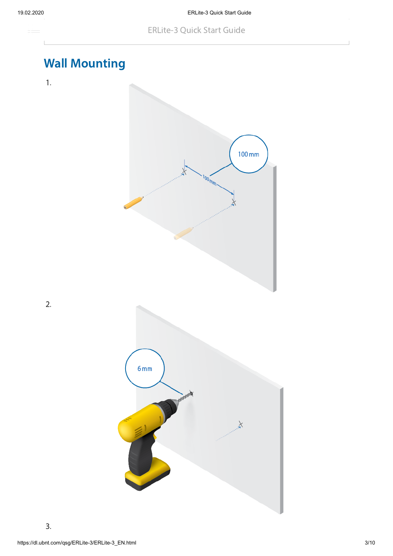

# **Wall Mounting**

1.

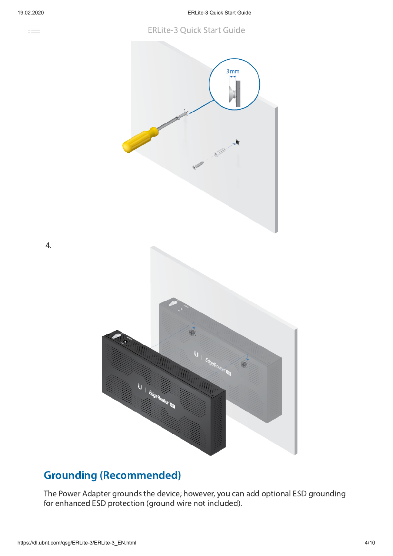

4.

#### **ERLite-3 Quick Start Guide**



#### **Grounding (Recommended)**

The Power Adapter grounds the device; however, you can add optional ESD grounding for enhanced ESD protection (ground wire not included).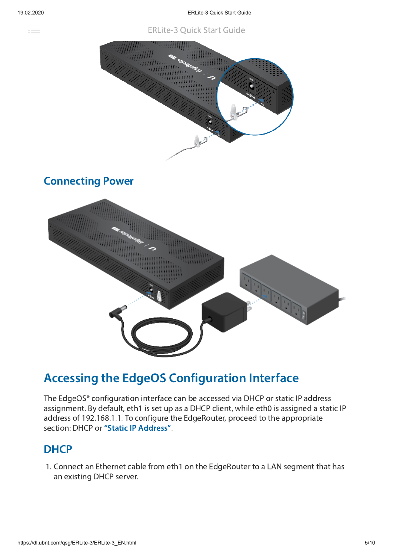**ERLite-3 Quick Start Guide** 



#### **Connecting Power**



## Accessing the EdgeOS Configuration Interface

The EdgeOS® configuration interface can be accessed via DHCP or static IP address assignment. By default, eth1 is set up as a DHCP client, while eth0 is assigned a static IP address of 192.168.1.1. To configure the EdgeRouter, proceed to the appropriate section: DHCP or "Static IP [Address"](#page-5-0).

#### **DHCP**

1. Connect an Ethernet cable from eth1 on the EdgeRouter to a LAN segment that has an existing DHCP server.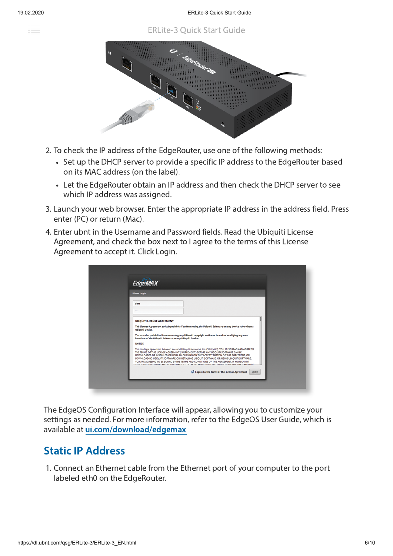**ERLite-3 Ouick Start Guide** 



- 2. To check the IP address of the EdgeRouter, use one of the following methods:
	- Set up the DHCP server to provide a specific IP address to the EdgeRouter based on its MAC address (on the label).
	- Let the EdgeRouter obtain an IP address and then check the DHCP server to see which IP address was assigned.
- 3. Launch your web browser. Enter the appropriate IP address in the address field. Press enter (PC) or return (Mac).
- 4. Enter ubnt in the Username and Password fields. Read the Ubiquiti License Agreement, and check the box next to I agree to the terms of this License Agreement to accept it. Click Login.

| <b>Please Login</b>                                        |                                                                                                                                                                                                                                                                                                                                                                                                                                                                                                                                                                                               |
|------------------------------------------------------------|-----------------------------------------------------------------------------------------------------------------------------------------------------------------------------------------------------------------------------------------------------------------------------------------------------------------------------------------------------------------------------------------------------------------------------------------------------------------------------------------------------------------------------------------------------------------------------------------------|
| ubnt<br>1000                                               |                                                                                                                                                                                                                                                                                                                                                                                                                                                                                                                                                                                               |
| <b>UBIQUITI LICENSE AGREEMENT</b>                          |                                                                                                                                                                                                                                                                                                                                                                                                                                                                                                                                                                                               |
| <b>Ubiquiti Device.</b>                                    | This License Agreement strictly prohibits You from using the Ubiquiti Software on any device other than a                                                                                                                                                                                                                                                                                                                                                                                                                                                                                     |
| interface of the Ubiquiti Software or any Ubiquiti Device. | You are also prohibited from removing any Ubiquiti copyright notice or brand or modifying any user                                                                                                                                                                                                                                                                                                                                                                                                                                                                                            |
| <b>NOTICE</b>                                              |                                                                                                                                                                                                                                                                                                                                                                                                                                                                                                                                                                                               |
|                                                            | This is a legal agreement between You and Ubiquiti Networks, Inc. ("Ubiquiti"), YOU MUST READ AND AGREE TO<br>THE TERMS OF THIS LICENSE AGREEMENT ("AGREEMENT") BEFORE ANY UBIQUITI SOFTWARE CAN BE<br>DOWNLOADED OR INSTALLED OR USED, BY CLICKING ON THE "ACCEPT" BUTTON OF THIS AGREEMENT, OR<br>DOWNLOADING UBIQUITI SOFTWARE, OR INSTALLING UBIQUITI SOFTWARE, OR USING UBIQUITI SOFTWARE,<br>YOU ARE AGREEING TO BE BOUND BY THE TERMS AND CONDITIONS OF THIS AGREEMENT. IF YOU DO NOT<br>WEBSAF, ASIP, EVALPHIPSION, P.F. W.U.F. LEWEFS AFAIT . WHEAT MALL FLIPLIL P. FUIT. TLUE BLACK |
|                                                            | $\blacksquare$ I agree to the terms of this License Agreement<br>Login                                                                                                                                                                                                                                                                                                                                                                                                                                                                                                                        |

<span id="page-5-0"></span>The EdgeOS Configuration Interface will appear, allowing you to customize your settings as needed. For more information, refer to the EdgeOS User Guide, which is available at ui.com/download/edgemax

#### **Static IP Address**

1. Connect an Ethernet cable from the Ethernet port of your computer to the port labeled eth0 on the EdgeRouter.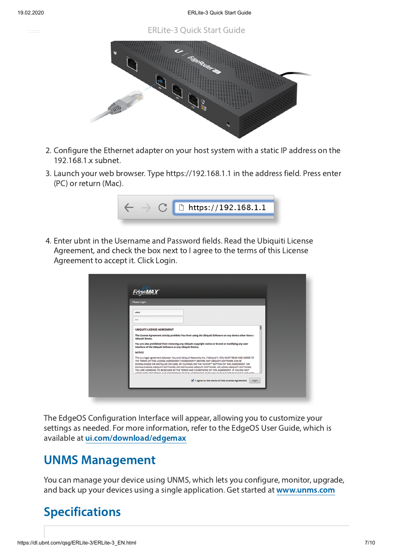**ERLite-3 Ouick Start Guide** 



- 2. Configure the Ethernet adapter on your host system with a static IP address on the 192.168.1.x subnet.
- 3. Launch your web browser. Type https://192.168.1.1 in the address field. Press enter (PC) or return (Mac).



4. Enter ubnt in the Username and Password fields. Read the Ubiquiti License Agreement, and check the box next to I agree to the terms of this License Agreement to accept it. Click Login.

| <b>EdgeMAX</b>                                                                                                                                                                                                                                                                                                                                                                                                                                                                                                                                                                                                 |                                                                                                           |
|----------------------------------------------------------------------------------------------------------------------------------------------------------------------------------------------------------------------------------------------------------------------------------------------------------------------------------------------------------------------------------------------------------------------------------------------------------------------------------------------------------------------------------------------------------------------------------------------------------------|-----------------------------------------------------------------------------------------------------------|
| <b>Please Login</b>                                                                                                                                                                                                                                                                                                                                                                                                                                                                                                                                                                                            |                                                                                                           |
| ubnt<br>$\cdots$                                                                                                                                                                                                                                                                                                                                                                                                                                                                                                                                                                                               |                                                                                                           |
| <b>UBIQUITI LICENSE AGREEMENT</b>                                                                                                                                                                                                                                                                                                                                                                                                                                                                                                                                                                              |                                                                                                           |
| <b>Ubiquiti Device.</b>                                                                                                                                                                                                                                                                                                                                                                                                                                                                                                                                                                                        | This License Agreement strictly prohibits You from using the Ubiquiti Software on any device other than a |
| interface of the Ubiquiti Software or any Ubiquiti Device.                                                                                                                                                                                                                                                                                                                                                                                                                                                                                                                                                     | You are also prohibited from removing any Ubiquiti copyright notice or brand or modifying any user        |
| <b>NOTICE</b>                                                                                                                                                                                                                                                                                                                                                                                                                                                                                                                                                                                                  |                                                                                                           |
| This is a legal agreement between You and Ubiquiti Networks, Inc. ("Ubiquiti"). YOU MUST READ AND AGREE TO<br>THE TERMS OF THIS LICENSE AGREEMENT ("AGREEMENT") BEFORE ANY UBIOUITI SOFTWARE CAN BE<br>DOWNLOADED OR INSTALLED OR USED, BY CLICKING ON THE "ACCEPT" BUTTON OF THIS AGREEMENT, OR<br>DOWNLOADING UBIQUITI SOFTWARE, OR INSTALLING UBIQUITI SOFTWARE, OR USING UBIQUITI SOFTWARE,<br>YOU ARE AGREEING TO BE BOUND BY THE TERMS AND CONDITIONS OF THIS AGREEMENT. IF YOU DO NOT<br>ማምሰል ልጅ . እስደሆነ ምንግል እንምህንት አሁን እንዲያም በአም ምንግል ምንግል እንዲህ እንዲህ እንዲሁ ይህ መረጃ እንዲህ እንዲሁም አንድ እንዲሁም እንዲሁም እንዲሁም እንዲ |                                                                                                           |
|                                                                                                                                                                                                                                                                                                                                                                                                                                                                                                                                                                                                                | $\blacksquare$ I agree to the terms of this License Agreement<br>Login                                    |

The EdgeOS Configuration Interface will appear, allowing you to customize your settings as needed. For more information, refer to the EdgeOS User Guide, which is available at ui.com/download/edgemax

## UNMS Management

You can manage your device using UNMS, which lets you configure, monitor, upgrade, and back up your devices using a single application. Get started at [www.unms.com](http://www.unms.com/)

## Specifications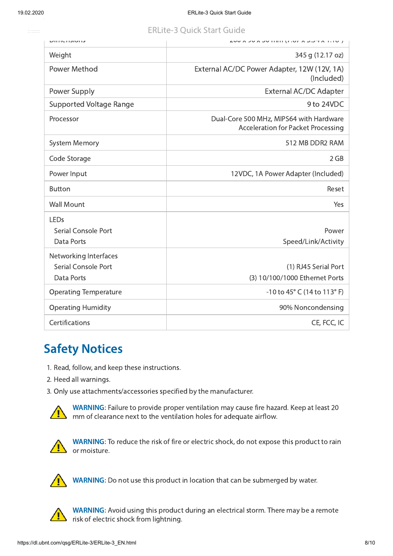### **ERLite-3 Ouick Start Guide**

| <b>טווטוטווטווט</b>            | ן טוור מידעוט מי וטוורן וויוורטע מיטע                                                |
|--------------------------------|--------------------------------------------------------------------------------------|
| Weight                         | 345 g (12.17 oz)                                                                     |
| Power Method                   | External AC/DC Power Adapter, 12W (12V, 1A)<br>(Included)                            |
| Power Supply                   | <b>External AC/DC Adapter</b>                                                        |
| <b>Supported Voltage Range</b> | 9 to 24VDC                                                                           |
| Processor                      | Dual-Core 500 MHz, MIPS64 with Hardware<br><b>Acceleration for Packet Processing</b> |
| <b>System Memory</b>           | 512 MB DDR2 RAM                                                                      |
| Code Storage                   | 2 GB                                                                                 |
| Power Input                    | 12VDC, 1A Power Adapter (Included)                                                   |
| <b>Button</b>                  | Reset                                                                                |
| <b>Wall Mount</b>              | Yes                                                                                  |
| LEDs                           |                                                                                      |
| Serial Console Port            | Power                                                                                |
| Data Ports                     | Speed/Link/Activity                                                                  |
| Networking Interfaces          |                                                                                      |
| <b>Serial Console Port</b>     | (1) RJ45 Serial Port                                                                 |
| Data Ports                     | (3) 10/100/1000 Ethernet Ports                                                       |
| <b>Operating Temperature</b>   | -10 to 45° C (14 to 113° F)                                                          |
| <b>Operating Humidity</b>      | 90% Noncondensing                                                                    |
| Certifications                 | CE, FCC, IC                                                                          |

## **Safety Notices**

- 1. Read, follow, and keep these instructions.
- 2. Heed all warnings.
- 3. Only use attachments/accessories specified by the manufacturer.



WARNING: Failure to provide proper ventilation may cause fire hazard. Keep at least 20 mm of clearance next to the ventilation holes for adequate airflow.



WARNING: To reduce the risk of fire or electric shock, do not expose this product to rain or moisture.



WARNING: Do not use this product in location that can be submerged by water.



WARNING: Avoid using this product during an electrical storm. There may be a remote risk of electric shock from lightning.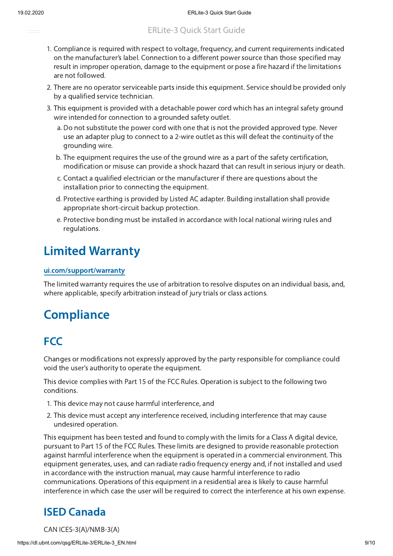

- ERLite-3 Quick Start Guide
- 1. Compliance is required with respect to voltage, frequency, and current requirements indicated on the manufacturer's label. Connection to a different power source than those specified may result in improper operation, damage to the equipment or pose a fire hazard if the limitations are not followed.
- 2. There are no operator serviceable parts inside this equipment. Service should be provided only by a qualified service technician.
- 3. This equipment is provided with a detachable power cord which has an integral safety ground wire intended for connection to a grounded safety outlet.
	- a. Do not substitute the power cord with one that is not the provided approved type. Never use an adapter plug to connect to a 2-wire outlet as this will defeat the continuity of the grounding wire.
	- b. The equipment requires the use of the ground wire as a part of the safety certification, modification or misuse can provide a shock hazard that can result in serious injury or death.
	- c. Contact a qualified electrician or the manufacturer if there are questions about the installation prior to connecting the equipment.
	- d. Protective earthing is provided by Listed AC adapter. Building installation shall provide appropriate short-circuit backup protection.
	- e. Protective bonding must be installed in accordance with local national wiring rules and regulations.

#### **Limited Warranty**

#### ui.com/support/warranty

The limited warranty requires the use of arbitration to resolve disputes on an individual basis, and, where applicable, specify arbitration instead of jury trials or class actions.

## **Compliance**

#### **FCC**

Changes or modifications not expressly approved by the party responsible for compliance could void the user's authority to operate the equipment.

This device complies with Part 15 of the FCC Rules. Operation is subject to the following two conditions.

- 1. This device may not cause harmful interference, and
- 2. This device must accept any interference received, including interference that may cause undesired operation.

This equipment has been tested and found to comply with the limits for a Class A digital device, pursuant to Part 15 of the FCC Rules. These limits are designed to provide reasonable protection against harmful interference when the equipment is operated in a commercial environment. This equipment generates, uses, and can radiate radio frequency energy and, if not installed and used in accordance with the instruction manual, may cause harmful interference to radio communications. Operations of this equipment in a residential area is likely to cause harmful interference in which case the user will be required to correct the interference at his own expense.

#### ISED Canada

CAN ICES-3(A)/NMB-3(A)